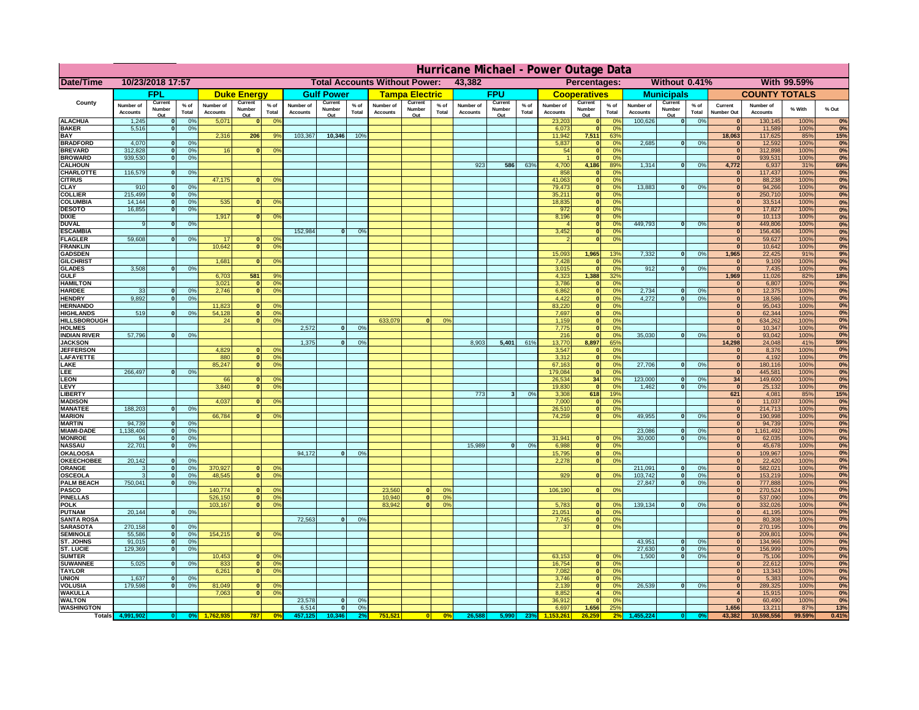|                                      | Hurricane Michael - Power Outage Data |                             |                 |                              |                          |                                                |                              |                          |                |                              |                          |                  |                                              |                          |                 |                              |                          |                      |                              |                          |                 |                              |                              |              |           |
|--------------------------------------|---------------------------------------|-----------------------------|-----------------|------------------------------|--------------------------|------------------------------------------------|------------------------------|--------------------------|----------------|------------------------------|--------------------------|------------------|----------------------------------------------|--------------------------|-----------------|------------------------------|--------------------------|----------------------|------------------------------|--------------------------|-----------------|------------------------------|------------------------------|--------------|-----------|
| Date/Time                            | 10/23/2018 17:57                      |                             |                 |                              |                          | 43,382<br><b>Total Accounts Without Power:</b> |                              |                          |                |                              |                          |                  | Without 0.41%<br>With 99.59%<br>Percentages: |                          |                 |                              |                          |                      |                              |                          |                 |                              |                              |              |           |
|                                      |                                       | FPL                         |                 |                              | <b>Duke Energy</b>       |                                                |                              | <b>Gulf Power</b>        |                |                              | <b>Tampa Electric</b>    |                  |                                              | <b>FPU</b>               |                 |                              | <b>Cooperatives</b>      |                      |                              | <b>Municipals</b>        |                 |                              | <b>COUNTY TOTALS</b>         |              |           |
| County                               | Number of<br><b>Accounts</b>          | Current<br>Number<br>Out    | $%$ of<br>Total | Number of<br><b>Accounts</b> | Current<br>Number<br>Out | $%$ of<br>Total                                | Number of<br><b>Accounts</b> | Current<br>Number<br>Out | % of<br>Total  | Number of<br><b>Accounts</b> | Current<br>Number<br>Out | $%$ of<br>Total  | Number of<br>Accounts                        | Current<br>Number<br>Out | $%$ of<br>Total | Number of<br><b>Accounts</b> | Current<br>Number<br>Out | $%$ of<br>Total      | Number of<br><b>Accounts</b> | Current<br>Number<br>Out | $%$ of<br>Total | Current<br><b>Number Out</b> | Number of<br><b>Accounts</b> | % With       | % Out     |
| <b>ALACHUA</b>                       | 1,245                                 | $\mathbf{0}$                | 0%              | 5,071                        | $\bf{0}$                 | 0 <sup>9</sup>                                 |                              |                          |                |                              |                          |                  |                                              |                          |                 | 23,203                       | 0                        | 0 <sup>9</sup>       | 100,626                      | 0                        | 0%              | $\bf{0}$                     | 130,145                      | 100%         | 0%        |
| <b>BAKER</b>                         | 5,516                                 | 0                           | 0%              |                              |                          |                                                |                              |                          |                |                              |                          |                  |                                              |                          |                 | 6,073                        | 0                        | 0%                   |                              |                          |                 | $\overline{0}$               | 11,589                       | 100%         | 0%        |
| <b>BAY</b><br><b>BRADFORD</b>        | 4,070                                 | $\mathbf{0}$                | 0%              | 2,316                        | 206                      | 9%                                             | 103,367                      | 10,346                   | 10%            |                              |                          |                  |                                              |                          |                 | 11,942<br>5,837              | 7,511<br> 0              | 63%<br>0%            | 2,685                        | 0                        | 0%              | 18,063<br>$\bf{0}$           | 117,625<br>12,592            | 85%<br>100%  | 15%<br>0% |
| <b>BREVARD</b>                       | 312,828                               | 0                           | 0%              | 16                           | 0                        | 0 <sup>o</sup>                                 |                              |                          |                |                              |                          |                  |                                              |                          |                 | 54                           | 0                        | 0%                   |                              |                          |                 | $\mathbf{0}$                 | 312,898                      | 100%         | 0%        |
| <b>BROWARD</b>                       | 939.530                               | 0                           | 0%              |                              |                          |                                                |                              |                          |                |                              |                          |                  |                                              |                          |                 |                              | 0                        | 0%                   |                              |                          |                 | $\bf{0}$                     | 939,531                      | 100%         | 0%        |
| <b>CALHOUN</b><br>CHARLOTTE          | 116,579                               | 0                           | 0%              |                              |                          |                                                |                              |                          |                |                              |                          |                  | 923                                          | 586                      | 63%             | 4,700<br>858                 | 4,186<br> 0              | 89%<br>0%            | 1,314                        | 0                        | 0%              | 4,772                        | 6,937<br>117,437             | 31%<br>100%  | 69%<br>0% |
| <b>CITRUS</b>                        |                                       |                             |                 | 47,175                       | $\mathbf{0}$             | 0 <sup>o</sup>                                 |                              |                          |                |                              |                          |                  |                                              |                          |                 | 41,063                       | 0                        | 0 <sup>9</sup>       |                              |                          |                 | $\bf{0}$                     | 88,238                       | 100%         | 0%        |
| <b>CLAY</b>                          | 910                                   | $\mathbf{0}$                | 0%              |                              |                          |                                                |                              |                          |                |                              |                          |                  |                                              |                          |                 | 79,473                       | 0                        | 0 <sup>9</sup>       | 13,883                       | $\mathbf{0}$             | 0%              | $\bf{0}$                     | 94,266                       | 100%         | 0%        |
| <b>COLLIER</b>                       | 215,499                               | $\mathbf{0}$                | 0 <sup>9</sup>  |                              |                          |                                                |                              |                          |                |                              |                          |                  |                                              |                          |                 | 35,211                       | 0                        | 0%                   |                              |                          |                 | $\bf{0}$                     | 250,710                      | 100%         | 0%        |
| <b>COLUMBIA</b><br><b>DESOTO</b>     | 14,144<br>16,855                      | $\mathbf 0$<br>$\mathbf{0}$ | 0%<br>0%        | 535                          | $\mathbf{0}$             | 0 <sup>9</sup>                                 |                              |                          |                |                              |                          |                  |                                              |                          |                 | 18,835<br>972                | 0 <br> 0                 | 0%<br>0%             |                              |                          |                 | $\bf{0}$<br>$\bf{0}$         | 33,514<br>17,827             | 100%<br>100% | 0%<br>0%  |
| <b>DIXIE</b>                         |                                       |                             |                 | 1,917                        | $\Omega$                 | 0 <sup>9</sup>                                 |                              |                          |                |                              |                          |                  |                                              |                          |                 | 8,196                        | 0                        | 0%                   |                              |                          |                 | $\Omega$                     | 10,113                       | 100%         | 0%        |
| <b>DUVAL</b>                         | 9                                     | $\Omega$                    | 0%              |                              |                          |                                                |                              |                          |                |                              |                          |                  |                                              |                          |                 |                              | 0                        | 0%                   | 449.793                      | $\overline{\mathbf{0}}$  | 0%              | $\Omega$                     | 449,806                      | 100%         | 0%        |
| <b>ESCAMBIA</b>                      | 59,608                                |                             |                 | 17                           |                          |                                                | 152,984                      | $\mathbf{0}$             | 0 <sup>o</sup> |                              |                          |                  |                                              |                          |                 | 3,452                        | 0                        | 0%<br>0%             |                              |                          |                 | $\Omega$                     | 156,436                      | 100%         | 0%        |
| <b>FLAGLER</b><br><b>FRANKLIN</b>    |                                       | $\overline{0}$              | 0%              | 10,642                       | $\bf{0}$<br> 0           | 0 <sup>o</sup><br>0 <sup>9</sup>               |                              |                          |                |                              |                          |                  |                                              |                          |                 |                              | 0                        |                      |                              |                          |                 | $\mathbf{0}$<br>$\Omega$     | 59,627<br>10,642             | 100%<br>100% | 0%<br>0%  |
| <b>GADSDEN</b>                       |                                       |                             |                 |                              |                          |                                                |                              |                          |                |                              |                          |                  |                                              |                          |                 | 15,093                       | 1,965                    | 13%                  | 7,332                        | 0                        | 0%              | 1,965                        | 22,425                       | 91%          | 9%        |
| <b>GILCHRIST</b>                     |                                       |                             |                 | 1,681                        | $\Omega$                 | 0 <sup>9</sup>                                 |                              |                          |                |                              |                          |                  |                                              |                          |                 | 7,428                        | 0                        | 0%                   |                              |                          |                 | $\mathbf{0}$                 | 9,109                        | 100%         | 0%        |
| <b>GLADES</b><br><b>GULF</b>         | 3,508                                 | 0                           | 0%              |                              | 581                      | 9%                                             |                              |                          |                |                              |                          |                  |                                              |                          |                 | 3,015                        | 0 <br>1,388              | 0%<br>32%            | 912                          | $\overline{0}$           | 0%              | 0 <br>1,969                  | 7,435                        | 100%<br>82%  | 0%        |
| <b>HAMILTON</b>                      |                                       |                             |                 | 6,703<br>3,021               |                          | $\overline{0}$<br>0 <sup>9</sup>               |                              |                          |                |                              |                          |                  |                                              |                          |                 | 4,323<br>3,786               | 0                        | 0%                   |                              |                          |                 | $\Omega$                     | 11,026<br>6,807              | 100%         | 18%<br>0% |
| <b>HARDEE</b>                        | 33                                    | $\overline{0}$              | 0%              | 2.746                        |                          | $\overline{0}$<br>0 <sup>9</sup>               |                              |                          |                |                              |                          |                  |                                              |                          |                 | 6.862                        | $\overline{0}$           | 0%                   | 2.734                        | $\mathbf{0}$             | 0%              | 0                            | 12,375                       | 100%         | 0%        |
| <b>HENDRY</b>                        | 9,892                                 | $\Omega$                    | 0%              |                              |                          |                                                |                              |                          |                |                              |                          |                  |                                              |                          |                 | 4,422                        | 0                        | 0%                   | 4,272                        | $\Omega$                 | 0%              | 0                            | 18,586                       | 100%         | 0%        |
| <b>HERNANDO</b><br><b>HIGHLANDS</b>  | 519                                   | $\mathbf{0}$                |                 | 11,823<br>54,128             | $\mathbf{0}$             | 0 <sup>9</sup><br> 0 <br>0 <sup>9</sup>        |                              |                          |                |                              |                          |                  |                                              |                          |                 | 83,220<br>7,697              | 0 <br> 0                 | 0%<br>0%             |                              |                          |                 | 0 <br> 0                     | 95,043<br>62,344             | 100%<br>100% | 0%<br>0%  |
| <b>HILLSBOROUGH</b>                  |                                       |                             | 0 <sup>9</sup>  | 24                           | 0                        | 0 <sup>9</sup>                                 |                              |                          |                | 633,079                      |                          | 0%               |                                              |                          |                 | 1,159                        | 0                        | 0%                   |                              |                          |                 | 0                            | 634,262                      | 100%         | 0%        |
| <b>HOLMES</b>                        |                                       |                             |                 |                              |                          |                                                | 2.572                        | $\mathbf{0}$             | 0%             |                              |                          |                  |                                              |                          |                 | 7,775                        | 0                        | 0%                   |                              |                          |                 | 0                            | 10,347                       | 100%         | 0%        |
| <b>INDIAN RIVER</b>                  | 57,796                                | $\mathbf{0}$                | 0%              |                              |                          |                                                |                              |                          |                |                              |                          |                  |                                              |                          |                 | 216                          | 0                        | 0%                   | 35,030                       | $\mathbf{0}$             | 0%              | 0                            | 93,042                       | 100%         | 0%        |
| <b>JACKSON</b><br><b>JEFFERSON</b>   |                                       |                             |                 | 4.829                        | n l                      | 0 <sup>9</sup>                                 | 1.375                        | $\mathbf{0}$             | 0 <sup>9</sup> |                              |                          |                  | 8.903                                        | 5,401                    | 61%             | 13,770<br>3.547              | 8.897<br> 0              | 65%<br>0%            |                              |                          |                 | 14.298<br>$\mathbf{0}$       | 24,048<br>8.376              | 41%<br>100%  | 59%<br>0% |
| LAFAYETTE                            |                                       |                             |                 | 880                          |                          | 0 <br>0 <sup>9</sup>                           |                              |                          |                |                              |                          |                  |                                              |                          |                 | 3.312                        | 0                        | 0%                   |                              |                          |                 | 0                            | 4.192                        | 100%         | 0%        |
| LAKE                                 |                                       |                             |                 | 85,247                       |                          | $\mathbf{0}$<br>0 <sup>9</sup>                 |                              |                          |                |                              |                          |                  |                                              |                          |                 | 67,163                       | 0                        | 0%                   | 27,706                       | $\Omega$                 | 0%              | 0                            | 180,116                      | 100%         | 0%        |
| EE.                                  | 266,497                               | 0                           | 0%              |                              |                          |                                                |                              |                          |                |                              |                          |                  |                                              |                          |                 | 179,084                      | 0                        | 0%                   |                              |                          |                 | 0                            | 445,581                      | 100%         | 0%        |
| LEON<br>LEVY                         |                                       |                             |                 | 66<br>3,840                  | $\mathbf{0}$<br>$\Omega$ | 0 <sup>o</sup><br>0 <sup>9</sup>               |                              |                          |                |                              |                          |                  |                                              |                          |                 | 26,534<br>19,830             | 34<br> 0                 | 0%<br>0 <sup>9</sup> | 123,000<br>1,462             | $\mathbf{0}$<br>-ol      | 0%<br>0%        | 34<br> 0                     | 149,600<br>25,132            | 100%<br>100% | 0%<br>0%  |
| <b>LIBERTY</b>                       |                                       |                             |                 |                              |                          |                                                |                              |                          |                |                              |                          |                  | 773                                          | $\mathbf{3}$             | 0%              | 3,308                        | 618                      | 19%                  |                              |                          |                 | 621                          | 4,081                        | 85%          | 15%       |
| <b>MADISON</b>                       |                                       |                             |                 | 4,037                        | $\Omega$                 | 0 <sup>9</sup>                                 |                              |                          |                |                              |                          |                  |                                              |                          |                 | 7,000                        | 0                        | 0%                   |                              |                          |                 | 0                            | 11,037                       | 100%         | 0%        |
| <b>MANATEE</b>                       | 188,203                               | 0                           | 0%              |                              |                          |                                                |                              |                          |                |                              |                          |                  |                                              |                          |                 | 26,510                       | 0                        | 0%                   |                              |                          |                 | 0                            | 214,713                      | 100%         | 0%        |
| <b>MARION</b><br><b>MARTIN</b>       | 94,739                                | 0                           | 0%              | 66,784                       | 0                        | 0 <sup>9</sup>                                 |                              |                          |                |                              |                          |                  |                                              |                          |                 | 74,259                       | 0                        | 0%                   | 49,955                       | $\Omega$                 | 0%              | 0 <br> 0                     | 190,998<br>94,739            | 100%<br>100% | 0%<br>0%  |
| <b>MIAMI-DADE</b>                    | 1,138,406                             | 0                           | 0%              |                              |                          |                                                |                              |                          |                |                              |                          |                  |                                              |                          |                 |                              |                          |                      | 23,086                       | $\mathbf{0}$             | 0%              | 0                            | 1,161,492                    | 100%         | 0%        |
| <b>MONROE</b>                        | 94                                    | 0                           | 0%              |                              |                          |                                                |                              |                          |                |                              |                          |                  |                                              |                          |                 | 31,941                       | $\overline{0}$           | 0 <sup>9</sup>       | 30,000                       | 0                        | 0%              | 0                            | 62,035                       | 100%         | 0%        |
| <b>NASSAU</b>                        | 22,701                                | 0                           | 0%              |                              |                          |                                                |                              |                          |                |                              |                          |                  | 15,989                                       | 0                        | 0%              | 6,988                        | 0                        | 0%                   |                              |                          |                 | 0                            | 45,678                       | 100%         | 0%        |
| <b>OKALOOSA</b><br><b>OKEECHOBEE</b> | 20,142                                | 0                           | 0%              |                              |                          |                                                | 94,172                       | $\mathbf{0}$             | 0%             |                              |                          |                  |                                              |                          |                 | 15,795<br>2,278              | 0 <br> 0                 | 0%<br>0%             |                              |                          |                 | 0 <br> 0                     | 109,967<br>22,420            | 100%<br>100% | 0%<br>0%  |
| ORANGE                               | 3                                     | 0                           | 0%              | 370,927                      |                          | 0 <br>0 <sup>o</sup>                           |                              |                          |                |                              |                          |                  |                                              |                          |                 |                              |                          |                      | 211,091                      | $\mathbf{0}$             | 0%              | 0                            | 582,021                      | 100%         | 0%        |
| <b>OSCEOLA</b>                       | 3                                     | 0                           | 0%              | 48,545                       |                          | 0 <sup>9</sup><br> 0                           |                              |                          |                |                              |                          |                  |                                              |                          |                 | 929                          | 0                        | 0%                   | 103,742                      | 0                        | 0%              | 0                            | 153,219                      | 100%         | 0%        |
| <b>PALM BEACH</b>                    | 750,041                               |                             | 0%<br> 0        |                              |                          |                                                |                              |                          |                |                              |                          |                  |                                              |                          |                 |                              |                          |                      | 27,847                       | $\overline{0}$           | 0%              | 0                            | 777,888                      | 100%         | 0%        |
| PASCO<br><b>PINELLAS</b>             |                                       |                             |                 | 140,774<br>526,150           | $\Omega$                 | 0 <sup>9</sup><br>0 <sup>9</sup><br> 0         |                              |                          |                | 23,560<br>10,940             | $\Omega$<br> 0           | $^{\circ}$<br>0% |                                              |                          |                 | 106,190                      | 0                        | 0%                   |                              |                          |                 | 0 <br>$\mathbf{0}$           | 270,524<br>537,090           | 100%<br>100% | 0%<br>0%  |
| <b>POLK</b>                          |                                       |                             |                 | 103,167                      |                          | 0 <sup>9</sup><br> 0                           |                              |                          |                | 83,942                       | $\mathbf{a}$             | 0%               |                                              |                          |                 | 5,783                        | 0                        | $\Omega$             | 139,134                      | 0                        | 0%              | 0                            | 332,026                      | 100%         | 0%        |
| <b>PUTNAM</b>                        | 20,144                                | 0                           | 0%              |                              |                          |                                                |                              |                          |                |                              |                          |                  |                                              |                          |                 | 21,051                       | $\ddot{\textbf{0}}$      | 0%                   |                              |                          |                 | $\bf{0}$                     | 41,195                       | 100%         | 0%        |
| <b>SANTA ROSA</b>                    |                                       |                             |                 |                              |                          |                                                | 72,563                       | 0                        | 0%             |                              |                          |                  |                                              |                          |                 | 7,745                        | 0                        | 0%                   |                              |                          |                 | $\mathbf{0}$                 | 80,308                       | 100%         | 0%        |
| <b>SARASOTA</b><br><b>SEMINOLE</b>   | 270,158<br>55,586                     | 0 <br> 0                    | 0%<br>0%        | 154,215                      |                          | $\mathbf{0}$<br>0 <sup>9</sup>                 |                              |                          |                |                              |                          |                  |                                              |                          |                 | 37                           | 0                        | 0%                   |                              |                          |                 | 0 <br> 0                     | 270,195<br>209,801           | 100%<br>100% | 0%<br>0%  |
| <b>ST. JOHNS</b>                     | 91,015                                | 0                           | 0%              |                              |                          |                                                |                              |                          |                |                              |                          |                  |                                              |                          |                 |                              |                          |                      | 43,951                       | -ol                      | 0%              | 0                            | 134,966                      | 100%         | 0%        |
| <b>ST. LUCIE</b>                     | 129.369                               | $\mathbf{0}$                | 0%              |                              |                          |                                                |                              |                          |                |                              |                          |                  |                                              |                          |                 |                              |                          |                      | 27.630                       | - O I                    | 0%              | 0                            | 156,999                      | 100%         | 0%        |
| <b>SUMTER</b>                        |                                       |                             |                 | 10,453                       |                          | $\overline{0}$<br>0 <sup>9</sup>               |                              |                          |                |                              |                          |                  |                                              |                          |                 | 63,153                       | 0                        | 0%                   | 1.500                        | 0                        | 0%              | 0                            | 75,106                       | 100%         | 0%        |
| <b>SUWANNEE</b><br><b>TAYLOR</b>     | 5,025                                 | 0                           | 0%              | 833<br>6,261                 | 0                        | 0 <sup>o</sup><br> 0 <br>0 <sup>9</sup>        |                              |                          |                |                              |                          |                  |                                              |                          |                 | 16,754<br>7,082              | 0 <br> 0                 | 0%<br>0%             |                              |                          |                 | $\mathbf{0}$<br>$\bf{0}$     | 22,612<br>13,343             | 100%<br>100% | 0%<br>0%  |
| <b>UNION</b>                         | 1,637                                 | $\mathbf{0}$                | 0%              |                              |                          |                                                |                              |                          |                |                              |                          |                  |                                              |                          |                 | 3,746                        | 0                        | 0%                   |                              |                          |                 | $\bf{0}$                     | 5,383                        | 100%         | 0%        |
| <b>VOLUSIA</b>                       | 179,598                               | 0                           | 0%              | 81,049                       | $\mathbf{0}$             | $\mathbf{0}$                                   |                              |                          |                |                              |                          |                  |                                              |                          |                 | 2,139                        | 0                        | 0%                   | 26,539                       | 0                        | 0%              | $\bf{0}$                     | 289,325                      | 100%         | 0%        |
| <b>WAKULLA</b><br><b>WALTON</b>      |                                       |                             |                 | 7,063                        | $\mathbf{0}$             | 0 <sup>9</sup>                                 | 23,578                       | $\mathbf{0}$             | 0%             |                              |                          |                  |                                              |                          |                 | 8,852<br>36,912              | $\overline{4}$<br> 0     | 0%<br>0%             |                              |                          |                 | $\bf{0}$                     | 15,915                       | 100%<br>100% | 0%<br>0%  |
| <b>WASHINGTON</b>                    |                                       |                             |                 |                              |                          |                                                | 6,514                        | 0                        | 0%             |                              |                          |                  |                                              |                          |                 | 6,697                        | 1,656                    | 25%                  |                              |                          |                 | 1,656                        | 60,490<br>13,211             | 87%          | 13%       |
| <b>Totals</b>                        |                                       |                             |                 |                              | 787                      | 0 <sup>6</sup>                                 |                              | 10,346                   |                | 751,521                      | 0                        | 0%               | 26,588                                       | 5,990                    | 23%             |                              | 26.259                   | $\overline{2}$       |                              |                          |                 | 43,382                       | 10,598,556                   | 99.59%       | 0.41%     |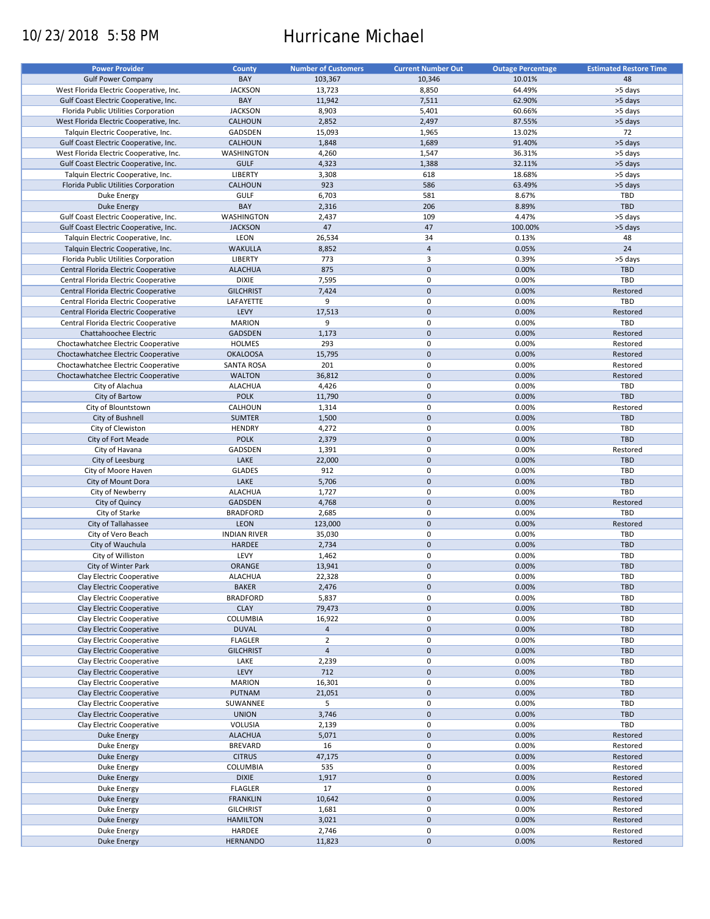# 10/23/2018 5:58 PM Hurricane Michael

| <b>Power Provider</b>                   | <b>County</b>       | <b>Number of Customers</b> | <b>Current Number Out</b> | <b>Outage Percentage</b> | <b>Estimated Restore Time</b> |
|-----------------------------------------|---------------------|----------------------------|---------------------------|--------------------------|-------------------------------|
|                                         |                     |                            |                           |                          |                               |
| <b>Gulf Power Company</b>               | BAY                 | 103,367                    | 10,346                    | 10.01%                   | 48                            |
| West Florida Electric Cooperative, Inc. | <b>JACKSON</b>      | 13,723                     | 8,850                     | 64.49%                   | >5 days                       |
| Gulf Coast Electric Cooperative, Inc.   | BAY                 | 11,942                     | 7,511                     | 62.90%                   | >5 days                       |
| Florida Public Utilities Corporation    | <b>JACKSON</b>      | 8,903                      | 5,401                     | 60.66%                   | >5 days                       |
| West Florida Electric Cooperative, Inc. | CALHOUN             | 2,852                      | 2,497                     | 87.55%                   | >5 days                       |
| Talquin Electric Cooperative, Inc.      | GADSDEN             | 15,093                     | 1,965                     | 13.02%                   | 72                            |
| Gulf Coast Electric Cooperative, Inc.   |                     |                            |                           | 91.40%                   |                               |
|                                         | CALHOUN             | 1,848                      | 1,689                     |                          | >5 days                       |
| West Florida Electric Cooperative, Inc. | WASHINGTON          | 4,260                      | 1,547                     | 36.31%                   | >5 days                       |
| Gulf Coast Electric Cooperative, Inc.   | <b>GULF</b>         | 4,323                      | 1,388                     | 32.11%                   | >5 days                       |
| Talquin Electric Cooperative, Inc.      | <b>LIBERTY</b>      | 3,308                      | 618                       | 18.68%                   | >5 days                       |
| Florida Public Utilities Corporation    | <b>CALHOUN</b>      | 923                        | 586                       | 63.49%                   | >5 days                       |
| Duke Energy                             | <b>GULF</b>         | 6,703                      | 581                       | 8.67%                    | TBD                           |
| <b>Duke Energy</b>                      | BAY                 | 2,316                      | 206                       | 8.89%                    | TBD                           |
|                                         |                     |                            |                           |                          |                               |
| Gulf Coast Electric Cooperative, Inc.   | WASHINGTON          | 2,437                      | 109                       | 4.47%                    | >5 days                       |
| Gulf Coast Electric Cooperative, Inc.   | <b>JACKSON</b>      | 47                         | 47                        | 100.00%                  | >5 days                       |
| Talquin Electric Cooperative, Inc.      | LEON                | 26,534                     | 34                        | 0.13%                    | 48                            |
| Talquin Electric Cooperative, Inc.      | <b>WAKULLA</b>      | 8,852                      | $\overline{4}$            | 0.05%                    | 24                            |
| Florida Public Utilities Corporation    | <b>LIBERTY</b>      | 773                        | 3                         | 0.39%                    | >5 days                       |
| Central Florida Electric Cooperative    | <b>ALACHUA</b>      | 875                        | $\mathbf 0$               | 0.00%                    | TBD                           |
|                                         |                     |                            |                           |                          |                               |
| Central Florida Electric Cooperative    | <b>DIXIE</b>        | 7,595                      | 0                         | 0.00%                    | <b>TBD</b>                    |
| Central Florida Electric Cooperative    | <b>GILCHRIST</b>    | 7,424                      | $\mathbf 0$               | 0.00%                    | Restored                      |
| Central Florida Electric Cooperative    | LAFAYETTE           | 9                          | 0                         | 0.00%                    | TBD                           |
| Central Florida Electric Cooperative    | LEVY                | 17,513                     | $\mathbf 0$               | 0.00%                    | Restored                      |
| Central Florida Electric Cooperative    | <b>MARION</b>       | 9                          | 0                         | 0.00%                    | <b>TBD</b>                    |
| Chattahoochee Electric                  | <b>GADSDEN</b>      | 1,173                      | $\mathbf 0$               | 0.00%                    | Restored                      |
|                                         |                     |                            |                           |                          |                               |
| Choctawhatchee Electric Cooperative     | <b>HOLMES</b>       | 293                        | 0                         | 0.00%                    | Restored                      |
| Choctawhatchee Electric Cooperative     | <b>OKALOOSA</b>     | 15,795                     | $\mathbf 0$               | 0.00%                    | Restored                      |
| Choctawhatchee Electric Cooperative     | <b>SANTA ROSA</b>   | 201                        | 0                         | 0.00%                    | Restored                      |
| Choctawhatchee Electric Cooperative     | <b>WALTON</b>       | 36,812                     | $\mathbf 0$               | 0.00%                    | Restored                      |
| City of Alachua                         | <b>ALACHUA</b>      | 4,426                      | 0                         | 0.00%                    | <b>TBD</b>                    |
| City of Bartow                          | <b>POLK</b>         | 11,790                     | $\mathbf 0$               | 0.00%                    | <b>TBD</b>                    |
|                                         |                     |                            |                           |                          |                               |
| City of Blountstown                     | CALHOUN             | 1,314                      | 0                         | 0.00%                    | Restored                      |
| City of Bushnell                        | <b>SUMTER</b>       | 1,500                      | $\mathbf 0$               | 0.00%                    | <b>TBD</b>                    |
| City of Clewiston                       | <b>HENDRY</b>       | 4,272                      | 0                         | 0.00%                    | TBD                           |
| City of Fort Meade                      | <b>POLK</b>         | 2,379                      | $\mathbf 0$               | 0.00%                    | <b>TBD</b>                    |
| City of Havana                          | GADSDEN             | 1,391                      | 0                         | 0.00%                    | Restored                      |
| City of Leesburg                        | LAKE                | 22,000                     | $\mathbf 0$               | 0.00%                    | <b>TBD</b>                    |
|                                         |                     |                            |                           |                          |                               |
| City of Moore Haven                     | <b>GLADES</b>       | 912                        | 0                         | 0.00%                    | TBD                           |
| City of Mount Dora                      | LAKE                | 5,706                      | $\mathbf 0$               | 0.00%                    | <b>TBD</b>                    |
| City of Newberry                        | <b>ALACHUA</b>      | 1,727                      | 0                         | 0.00%                    | TBD                           |
| City of Quincy                          | <b>GADSDEN</b>      | 4,768                      | $\mathbf 0$               | 0.00%                    | Restored                      |
| City of Starke                          | <b>BRADFORD</b>     | 2,685                      | $\pmb{0}$                 | 0.00%                    | TBD                           |
| City of Tallahassee                     | <b>LEON</b>         | 123,000                    | $\mathbf 0$               | 0.00%                    | Restored                      |
|                                         |                     |                            | 0                         |                          |                               |
| City of Vero Beach                      | <b>INDIAN RIVER</b> | 35,030                     |                           | 0.00%                    | TBD                           |
| City of Wauchula                        | <b>HARDEE</b>       | 2,734                      | $\mathbf 0$               | 0.00%                    | <b>TBD</b>                    |
| City of Williston                       | LEVY                | 1,462                      | 0                         | 0.00%                    | TBD                           |
| City of Winter Park                     | ORANGE              | 13,941                     | $\mathbf 0$               | 0.00%                    | <b>TBD</b>                    |
| Clay Electric Cooperative               | <b>ALACHUA</b>      | 22,328                     | 0                         | 0.00%                    | TBD                           |
| Clay Electric Cooperative               | <b>BAKER</b>        | 2,476                      | $\pmb{0}$                 | 0.00%                    | <b>TBD</b>                    |
|                                         |                     |                            |                           |                          |                               |
| Clay Electric Cooperative               | <b>BRADFORD</b>     | 5,837                      | 0                         | 0.00%                    | TBD                           |
| Clay Electric Cooperative               | <b>CLAY</b>         | 79,473                     | $\pmb{0}$                 | 0.00%                    | <b>TBD</b>                    |
| Clay Electric Cooperative               | COLUMBIA            | 16,922                     | 0                         | 0.00%                    | TBD                           |
| Clay Electric Cooperative               | <b>DUVAL</b>        | $\overline{4}$             | $\pmb{0}$                 | 0.00%                    | <b>TBD</b>                    |
| Clay Electric Cooperative               | <b>FLAGLER</b>      | $\overline{2}$             | 0                         | 0.00%                    | TBD                           |
| Clay Electric Cooperative               | <b>GILCHRIST</b>    | $\overline{4}$             | $\pmb{0}$                 | 0.00%                    | <b>TBD</b>                    |
| Clay Electric Cooperative               | LAKE                | 2,239                      | 0                         | 0.00%                    | TBD                           |
|                                         |                     |                            |                           |                          |                               |
| Clay Electric Cooperative               | LEVY                | 712                        | $\pmb{0}$                 | 0.00%                    | <b>TBD</b>                    |
| Clay Electric Cooperative               | <b>MARION</b>       | 16,301                     | 0                         | 0.00%                    | TBD                           |
| Clay Electric Cooperative               | PUTNAM              | 21,051                     | $\pmb{0}$                 | 0.00%                    | TBD                           |
| Clay Electric Cooperative               | SUWANNEE            | 5                          | 0                         | 0.00%                    | TBD                           |
| Clay Electric Cooperative               | <b>UNION</b>        | 3,746                      | $\pmb{0}$                 | 0.00%                    | TBD                           |
| Clay Electric Cooperative               | VOLUSIA             | 2,139                      | 0                         | 0.00%                    | TBD                           |
| <b>Duke Energy</b>                      | <b>ALACHUA</b>      | 5,071                      | $\pmb{0}$                 | 0.00%                    | Restored                      |
|                                         |                     |                            |                           |                          |                               |
| Duke Energy                             | <b>BREVARD</b>      | 16                         | 0                         | 0.00%                    | Restored                      |
| <b>Duke Energy</b>                      | <b>CITRUS</b>       | 47,175                     | $\pmb{0}$                 | 0.00%                    | Restored                      |
| Duke Energy                             | COLUMBIA            | 535                        | 0                         | 0.00%                    | Restored                      |
| <b>Duke Energy</b>                      | <b>DIXIE</b>        | 1,917                      | $\pmb{0}$                 | 0.00%                    | Restored                      |
| Duke Energy                             | <b>FLAGLER</b>      | 17                         | 0                         | 0.00%                    | Restored                      |
| <b>Duke Energy</b>                      | <b>FRANKLIN</b>     | 10,642                     | $\pmb{0}$                 | 0.00%                    | Restored                      |
| Duke Energy                             | <b>GILCHRIST</b>    | 1,681                      | 0                         | 0.00%                    | Restored                      |
|                                         |                     |                            |                           |                          |                               |
| <b>Duke Energy</b>                      | <b>HAMILTON</b>     | 3,021                      | $\mathbf 0$               | 0.00%                    | Restored                      |
| Duke Energy                             | HARDEE              | 2,746                      | 0                         | 0.00%                    | Restored                      |
| <b>Duke Energy</b>                      | <b>HERNANDO</b>     | 11,823                     | $\pmb{0}$                 | 0.00%                    | Restored                      |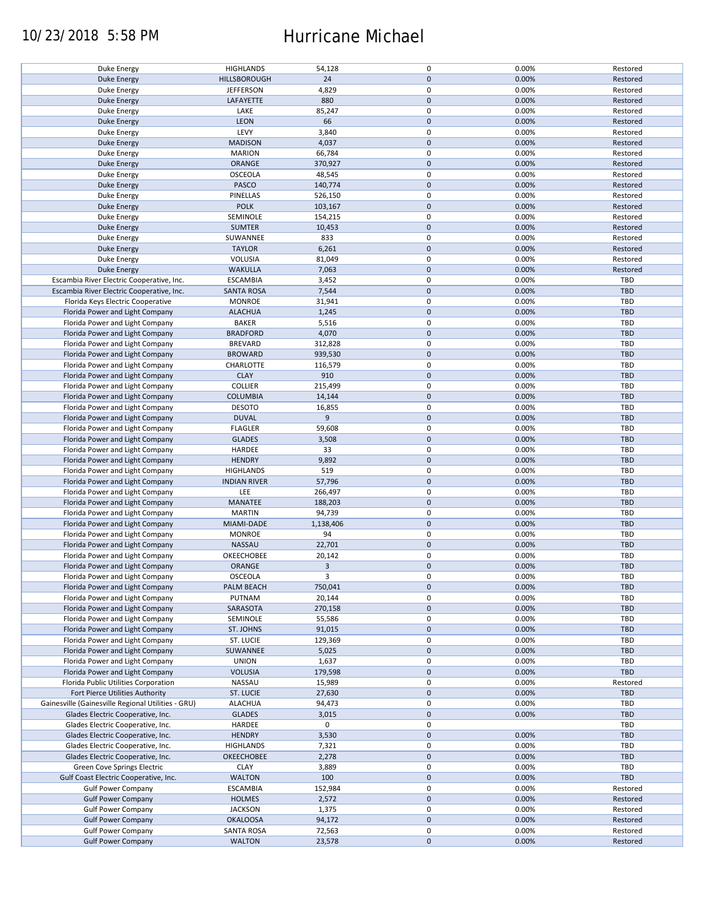### 10/23/2018 5:58 PM Hurricane Michael

| Duke Energy                                        | <b>HIGHLANDS</b>    | 54,128       | $\mathbf 0$ | 0.00% | Restored   |
|----------------------------------------------------|---------------------|--------------|-------------|-------|------------|
| <b>Duke Energy</b>                                 | HILLSBOROUGH        | 24           | $\mathbf 0$ | 0.00% | Restored   |
| Duke Energy                                        | <b>JEFFERSON</b>    | 4,829        | 0           | 0.00% | Restored   |
|                                                    |                     |              | $\mathbf 0$ |       |            |
| <b>Duke Energy</b>                                 | LAFAYETTE           | 880          |             | 0.00% | Restored   |
| Duke Energy                                        | LAKE                | 85,247       | 0           | 0.00% | Restored   |
| <b>Duke Energy</b>                                 | LEON                | 66           | $\mathbf 0$ | 0.00% | Restored   |
| Duke Energy                                        | LEVY                | 3,840        | 0           | 0.00% | Restored   |
|                                                    |                     |              |             |       |            |
| <b>Duke Energy</b>                                 | <b>MADISON</b>      | 4,037        | $\mathbf 0$ | 0.00% | Restored   |
| Duke Energy                                        | <b>MARION</b>       | 66,784       | 0           | 0.00% | Restored   |
| Duke Energy                                        | ORANGE              | 370,927      | $\mathbf 0$ | 0.00% | Restored   |
|                                                    |                     |              |             |       |            |
| Duke Energy                                        | <b>OSCEOLA</b>      | 48,545       | 0           | 0.00% | Restored   |
| Duke Energy                                        | PASCO               | 140,774      | $\mathbf 0$ | 0.00% | Restored   |
| Duke Energy                                        | PINELLAS            | 526,150      | $\mathbf 0$ | 0.00% | Restored   |
| Duke Energy                                        | <b>POLK</b>         | 103,167      | $\mathbf 0$ | 0.00% | Restored   |
|                                                    |                     |              |             |       |            |
| Duke Energy                                        | SEMINOLE            | 154,215      | $\pmb{0}$   | 0.00% | Restored   |
| <b>Duke Energy</b>                                 | <b>SUMTER</b>       | 10,453       | $\mathbf 0$ | 0.00% | Restored   |
| Duke Energy                                        | SUWANNEE            | 833          | $\pmb{0}$   | 0.00% | Restored   |
|                                                    |                     |              | $\mathbf 0$ |       |            |
| <b>Duke Energy</b>                                 | <b>TAYLOR</b>       | 6,261        |             | 0.00% | Restored   |
| Duke Energy                                        | VOLUSIA             | 81,049       | $\pmb{0}$   | 0.00% | Restored   |
| <b>Duke Energy</b>                                 | <b>WAKULLA</b>      | 7,063        | $\mathbf 0$ | 0.00% | Restored   |
| Escambia River Electric Cooperative, Inc.          | <b>ESCAMBIA</b>     | 3,452        | $\pmb{0}$   | 0.00% | <b>TBD</b> |
|                                                    |                     |              |             |       |            |
| Escambia River Electric Cooperative, Inc.          | <b>SANTA ROSA</b>   | 7,544        | $\mathbf 0$ | 0.00% | <b>TBD</b> |
| Florida Keys Electric Cooperative                  | <b>MONROE</b>       | 31,941       | $\pmb{0}$   | 0.00% | <b>TBD</b> |
| Florida Power and Light Company                    | <b>ALACHUA</b>      | 1,245        | $\mathbf 0$ | 0.00% | <b>TBD</b> |
|                                                    |                     |              |             |       |            |
| Florida Power and Light Company                    | <b>BAKER</b>        | 5,516        | $\mathbf 0$ | 0.00% | <b>TBD</b> |
| Florida Power and Light Company                    | <b>BRADFORD</b>     | 4,070        | $\pmb{0}$   | 0.00% | <b>TBD</b> |
| Florida Power and Light Company                    | <b>BREVARD</b>      | 312,828      | $\mathbf 0$ | 0.00% | TBD        |
|                                                    |                     |              |             |       |            |
| Florida Power and Light Company                    | <b>BROWARD</b>      | 939,530      | $\pmb{0}$   | 0.00% | <b>TBD</b> |
| Florida Power and Light Company                    | CHARLOTTE           | 116,579      | $\mathbf 0$ | 0.00% | TBD        |
| Florida Power and Light Company                    | <b>CLAY</b>         | 910          | $\pmb{0}$   | 0.00% | <b>TBD</b> |
| Florida Power and Light Company                    | <b>COLLIER</b>      | 215,499      | $\pmb{0}$   | 0.00% | <b>TBD</b> |
|                                                    |                     |              |             |       |            |
| Florida Power and Light Company                    | <b>COLUMBIA</b>     | 14,144       | $\pmb{0}$   | 0.00% | <b>TBD</b> |
| Florida Power and Light Company                    | <b>DESOTO</b>       | 16,855       | 0           | 0.00% | TBD        |
| Florida Power and Light Company                    | <b>DUVAL</b>        | 9            | $\mathbf 0$ | 0.00% | <b>TBD</b> |
|                                                    |                     |              |             |       |            |
| Florida Power and Light Company                    | <b>FLAGLER</b>      | 59,608       | 0           | 0.00% | TBD        |
| Florida Power and Light Company                    | <b>GLADES</b>       | 3,508        | $\pmb{0}$   | 0.00% | <b>TBD</b> |
| Florida Power and Light Company                    | HARDEE              | 33           | $\pmb{0}$   | 0.00% | TBD        |
| Florida Power and Light Company                    | <b>HENDRY</b>       | 9,892        | $\pmb{0}$   | 0.00% | <b>TBD</b> |
|                                                    |                     |              |             |       |            |
| Florida Power and Light Company                    | <b>HIGHLANDS</b>    | 519          | $\pmb{0}$   | 0.00% | <b>TBD</b> |
| Florida Power and Light Company                    | <b>INDIAN RIVER</b> | 57,796       | $\mathbf 0$ | 0.00% | <b>TBD</b> |
| Florida Power and Light Company                    | LEE                 | 266,497      | $\pmb{0}$   | 0.00% | TBD        |
|                                                    |                     |              |             |       |            |
| Florida Power and Light Company                    | MANATEE             | 188,203      | $\pmb{0}$   | 0.00% | <b>TBD</b> |
| Florida Power and Light Company                    | <b>MARTIN</b>       | 94,739       | $\pmb{0}$   | 0.00% | TBD        |
| Florida Power and Light Company                    | MIAMI-DADE          | 1,138,406    | $\mathbf 0$ | 0.00% | <b>TBD</b> |
|                                                    |                     |              |             |       |            |
| Florida Power and Light Company                    | <b>MONROE</b>       | 94           | $\mathbf 0$ | 0.00% | TBD        |
| Florida Power and Light Company                    | NASSAU              | 22,701       | $\mathbf 0$ | 0.00% | <b>TBD</b> |
| Florida Power and Light Company                    | OKEECHOBEE          | 20,142       | 0           | 0.00% | <b>TBD</b> |
|                                                    | <b>ORANGE</b>       |              |             |       |            |
| Florida Power and Light Company                    |                     | $\mathbf{3}$ | $\mathbf 0$ | 0.00% | <b>TBD</b> |
| Florida Power and Light Company                    | <b>OSCEOLA</b>      | 3            | $\mathbf 0$ | 0.00% | TBD        |
| Florida Power and Light Company                    | PALM BEACH          | 750,041      | $\pmb{0}$   | 0.00% | TBD        |
|                                                    |                     |              |             |       | TBD        |
| Florida Power and Light Company                    | PUTNAM              | 20,144       | 0           | 0.00% |            |
| Florida Power and Light Company                    | SARASOTA            | 270,158      | $\mathbf 0$ | 0.00% | <b>TBD</b> |
| Florida Power and Light Company                    | SEMINOLE            | 55,586       | 0           | 0.00% | TBD        |
| Florida Power and Light Company                    | ST. JOHNS           | 91,015       | 0           | 0.00% | TBD        |
|                                                    |                     |              |             | 0.00% | TBD        |
|                                                    |                     |              |             |       |            |
| Florida Power and Light Company                    | ST. LUCIE           | 129,369      | 0           |       |            |
| Florida Power and Light Company                    | SUWANNEE            | 5,025        | $\pmb{0}$   | 0.00% | <b>TBD</b> |
|                                                    |                     |              |             |       |            |
| Florida Power and Light Company                    | <b>UNION</b>        | 1,637        | 0           | 0.00% | TBD        |
| Florida Power and Light Company                    | <b>VOLUSIA</b>      | 179,598      | 0           | 0.00% | <b>TBD</b> |
| Florida Public Utilities Corporation               | NASSAU              | 15,989       | 0           | 0.00% | Restored   |
| Fort Pierce Utilities Authority                    | ST. LUCIE           | 27,630       | $\pmb{0}$   | 0.00% | <b>TBD</b> |
|                                                    |                     |              |             |       |            |
| Gainesville (Gainesville Regional Utilities - GRU) | <b>ALACHUA</b>      | 94,473       | 0           | 0.00% | TBD        |
| Glades Electric Cooperative, Inc.                  | <b>GLADES</b>       | 3,015        | $\pmb{0}$   | 0.00% | <b>TBD</b> |
| Glades Electric Cooperative, Inc.                  | HARDEE              | 0            | $\pmb{0}$   |       | TBD        |
|                                                    |                     |              |             |       |            |
| Glades Electric Cooperative, Inc.                  | <b>HENDRY</b>       | 3,530        | $\pmb{0}$   | 0.00% | <b>TBD</b> |
| Glades Electric Cooperative, Inc.                  | <b>HIGHLANDS</b>    | 7,321        | $\pmb{0}$   | 0.00% | TBD        |
| Glades Electric Cooperative, Inc.                  | <b>OKEECHOBEE</b>   | 2,278        | $\pmb{0}$   | 0.00% | <b>TBD</b> |
|                                                    |                     |              |             |       | <b>TBD</b> |
| Green Cove Springs Electric                        | <b>CLAY</b>         | 3,889        | $\pmb{0}$   | 0.00% |            |
| Gulf Coast Electric Cooperative, Inc.              | <b>WALTON</b>       | 100          | $\pmb{0}$   | 0.00% | <b>TBD</b> |
| <b>Gulf Power Company</b>                          | <b>ESCAMBIA</b>     | 152,984      | 0           | 0.00% | Restored   |
| <b>Gulf Power Company</b>                          | <b>HOLMES</b>       | 2,572        | $\pmb{0}$   | 0.00% | Restored   |
|                                                    |                     |              |             |       |            |
| <b>Gulf Power Company</b>                          | <b>JACKSON</b>      | 1,375        | 0           | 0.00% | Restored   |
| <b>Gulf Power Company</b>                          | <b>OKALOOSA</b>     | 94,172       | $\pmb{0}$   | 0.00% | Restored   |
| <b>Gulf Power Company</b>                          | <b>SANTA ROSA</b>   | 72,563       | 0           | 0.00% | Restored   |
| <b>Gulf Power Company</b>                          | <b>WALTON</b>       | 23,578       | $\pmb{0}$   | 0.00% | Restored   |